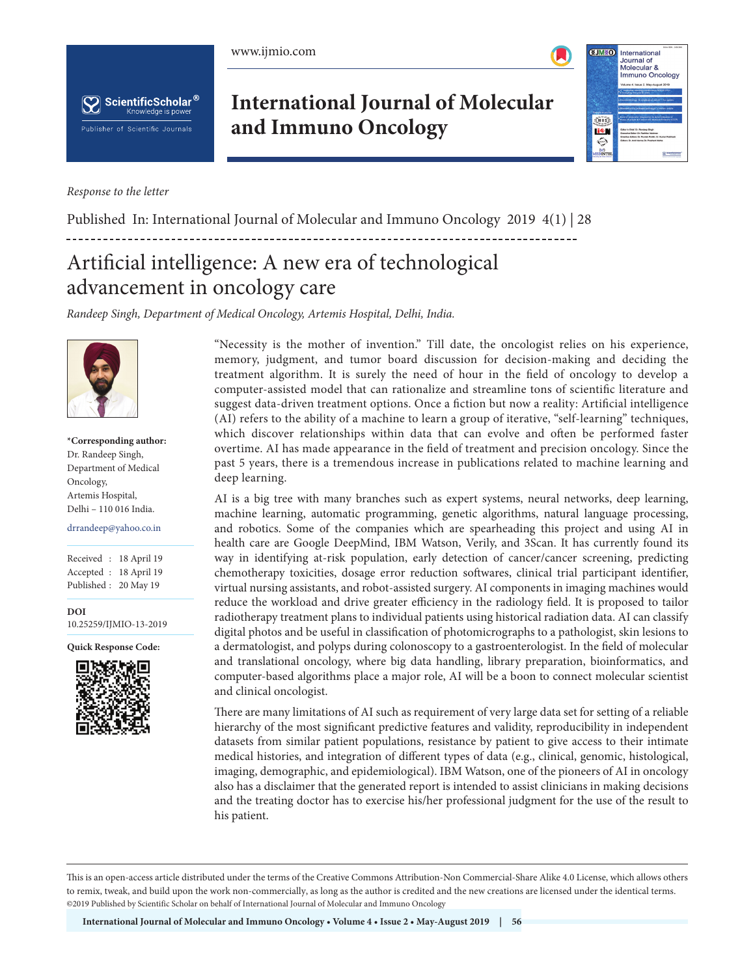



**CENTE** 



*Response to the letter*

**International Journal of Molecular and Immuno Oncology**

Published In: International Journal of Molecular and Immuno Oncology 2019 4(1) | 28

## Artificial intelligence: A new era of technological advancement in oncology care

*Randeep Singh, Department of Medical Oncology, Artemis Hospital, Delhi, India.*



**\*Corresponding author:** Dr. Randeep Singh, Department of Medical Oncology, Artemis Hospital, Delhi – 110 016 India.

drrandeep@yahoo.co.in

Received : 18 April 19 Accepted : 18 April 19 Published : 20 May 19

**DOI** 10.25259/IJMIO-13-2019

**Quick Response Code:**



"Necessity is the mother of invention." Till date, the oncologist relies on his experience, memory, judgment, and tumor board discussion for decision-making and deciding the treatment algorithm. It is surely the need of hour in the field of oncology to develop a computer-assisted model that can rationalize and streamline tons of scientific literature and suggest data-driven treatment options. Once a fiction but now a reality: Artificial intelligence (AI) refers to the ability of a machine to learn a group of iterative, "self-learning" techniques, which discover relationships within data that can evolve and often be performed faster overtime. AI has made appearance in the field of treatment and precision oncology. Since the past 5 years, there is a tremendous increase in publications related to machine learning and deep learning.

AI is a big tree with many branches such as expert systems, neural networks, deep learning, machine learning, automatic programming, genetic algorithms, natural language processing, and robotics. Some of the companies which are spearheading this project and using AI in health care are Google DeepMind, IBM Watson, Verily, and 3Scan. It has currently found its way in identifying at-risk population, early detection of cancer/cancer screening, predicting chemotherapy toxicities, dosage error reduction softwares, clinical trial participant identifier, virtual nursing assistants, and robot-assisted surgery. AI components in imaging machines would reduce the workload and drive greater efficiency in the radiology field. It is proposed to tailor radiotherapy treatment plans to individual patients using historical radiation data. AI can classify digital photos and be useful in classification of photomicrographs to a pathologist, skin lesions to a dermatologist, and polyps during colonoscopy to a gastroenterologist. In the field of molecular and translational oncology, where big data handling, library preparation, bioinformatics, and computer-based algorithms place a major role, AI will be a boon to connect molecular scientist and clinical oncologist.

There are many limitations of AI such as requirement of very large data set for setting of a reliable hierarchy of the most significant predictive features and validity, reproducibility in independent datasets from similar patient populations, resistance by patient to give access to their intimate medical histories, and integration of different types of data (e.g., clinical, genomic, histological, imaging, demographic, and epidemiological). IBM Watson, one of the pioneers of AI in oncology also has a disclaimer that the generated report is intended to assist clinicians in making decisions and the treating doctor has to exercise his/her professional judgment for the use of the result to his patient.

This is an open-access article distributed under the terms of the Creative Commons Attribution-Non Commercial-Share Alike 4.0 License, which allows others to remix, tweak, and build upon the work non-commercially, as long as the author is credited and the new creations are licensed under the identical terms. ©2019 Published by Scientific Scholar on behalf of International Journal of Molecular and Immuno Oncology



International Journal of